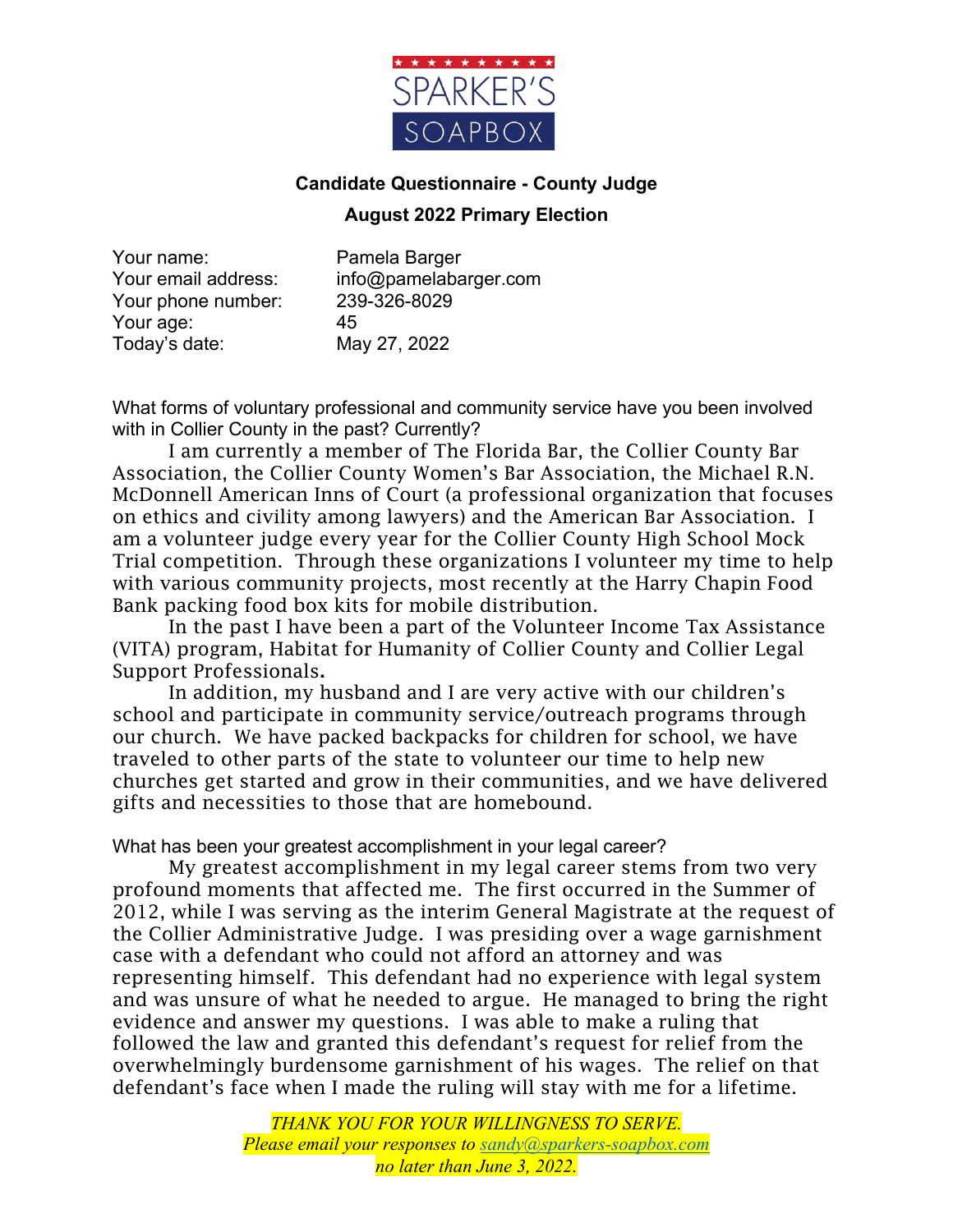

## **Candidate Questionnaire - County Judge**

## **August 2022 Primary Election**

Your name: Pamela Barger Your phone number: 239-326-8029 Your age: 45 Today's date: May 27, 2022

Your email address: info@pamelabarger.com

What forms of voluntary professional and community service have you been involved with in Collier County in the past? Currently?

I am currently a member of The Florida Bar, the Collier County Bar Association, the Collier County Women's Bar Association, the Michael R.N. McDonnell American Inns of Court (a professional organization that focuses on ethics and civility among lawyers) and the American Bar Association. I am a volunteer judge every year for the Collier County High School Mock Trial competition. Through these organizations I volunteer my time to help with various community projects, most recently at the Harry Chapin Food Bank packing food box kits for mobile distribution.

In the past I have been a part of the Volunteer Income Tax Assistance (VITA) program, Habitat for Humanity of Collier County and Collier Legal Support Professionals.

In addition, my husband and I are very active with our children's school and participate in community service/outreach programs through our church. We have packed backpacks for children for school, we have traveled to other parts of the state to volunteer our time to help new churches get started and grow in their communities, and we have delivered gifts and necessities to those that are homebound.

What has been your greatest accomplishment in your legal career?

My greatest accomplishment in my legal career stems from two very profound moments that affected me. The first occurred in the Summer of 2012, while I was serving as the interim General Magistrate at the request of the Collier Administrative Judge. I was presiding over a wage garnishment case with a defendant who could not afford an attorney and was representing himself. This defendant had no experience with legal system and was unsure of what he needed to argue. He managed to bring the right evidence and answer my questions. I was able to make a ruling that followed the law and granted this defendant's request for relief from the overwhelmingly burdensome garnishment of his wages. The relief on that defendant's face when I made the ruling will stay with me for a lifetime.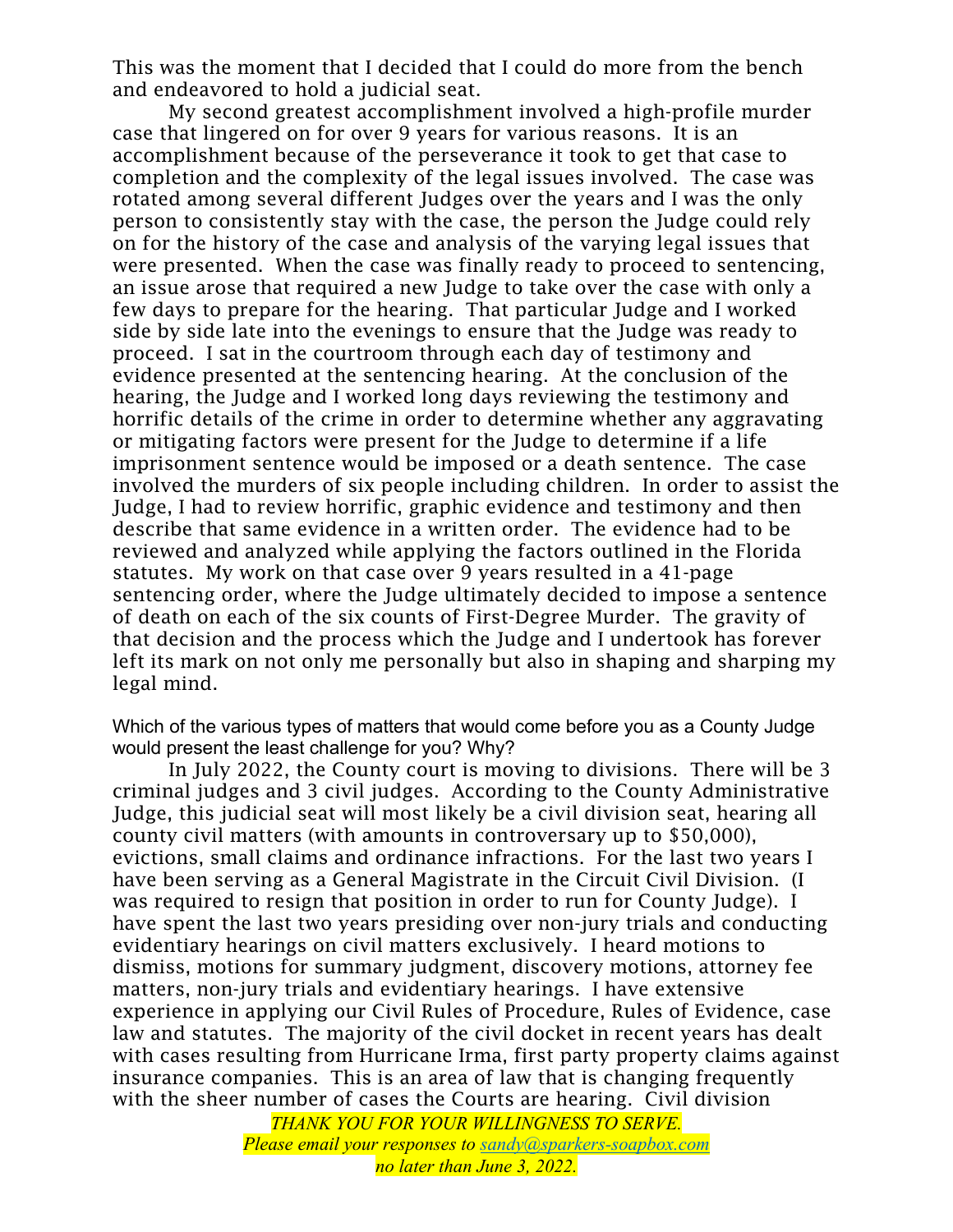This was the moment that I decided that I could do more from the bench and endeavored to hold a judicial seat.

My second greatest accomplishment involved a high-profile murder case that lingered on for over 9 years for various reasons. It is an accomplishment because of the perseverance it took to get that case to completion and the complexity of the legal issues involved. The case was rotated among several different Judges over the years and I was the only person to consistently stay with the case, the person the Judge could rely on for the history of the case and analysis of the varying legal issues that were presented. When the case was finally ready to proceed to sentencing, an issue arose that required a new Judge to take over the case with only a few days to prepare for the hearing. That particular Judge and I worked side by side late into the evenings to ensure that the Judge was ready to proceed. I sat in the courtroom through each day of testimony and evidence presented at the sentencing hearing. At the conclusion of the hearing, the Judge and I worked long days reviewing the testimony and horrific details of the crime in order to determine whether any aggravating or mitigating factors were present for the Judge to determine if a life imprisonment sentence would be imposed or a death sentence. The case involved the murders of six people including children. In order to assist the Judge, I had to review horrific, graphic evidence and testimony and then describe that same evidence in a written order. The evidence had to be reviewed and analyzed while applying the factors outlined in the Florida statutes. My work on that case over 9 years resulted in a 41-page sentencing order, where the Judge ultimately decided to impose a sentence of death on each of the six counts of First-Degree Murder. The gravity of that decision and the process which the Judge and I undertook has forever left its mark on not only me personally but also in shaping and sharping my legal mind.

Which of the various types of matters that would come before you as a County Judge would present the least challenge for you? Why?

In July 2022, the County court is moving to divisions. There will be 3 criminal judges and 3 civil judges. According to the County Administrative Judge, this judicial seat will most likely be a civil division seat, hearing all county civil matters (with amounts in controversary up to \$50,000), evictions, small claims and ordinance infractions. For the last two years I have been serving as a General Magistrate in the Circuit Civil Division. (I was required to resign that position in order to run for County Judge). I have spent the last two years presiding over non-jury trials and conducting evidentiary hearings on civil matters exclusively. I heard motions to dismiss, motions for summary judgment, discovery motions, attorney fee matters, non-jury trials and evidentiary hearings. I have extensive experience in applying our Civil Rules of Procedure, Rules of Evidence, case law and statutes. The majority of the civil docket in recent years has dealt with cases resulting from Hurricane Irma, first party property claims against insurance companies. This is an area of law that is changing frequently with the sheer number of cases the Courts are hearing. Civil division

> *THANK YOU FOR YOUR WILLINGNESS TO SERVE. Please email your responses to sandy@sparkers-soapbox.com no later than June 3, 2022.*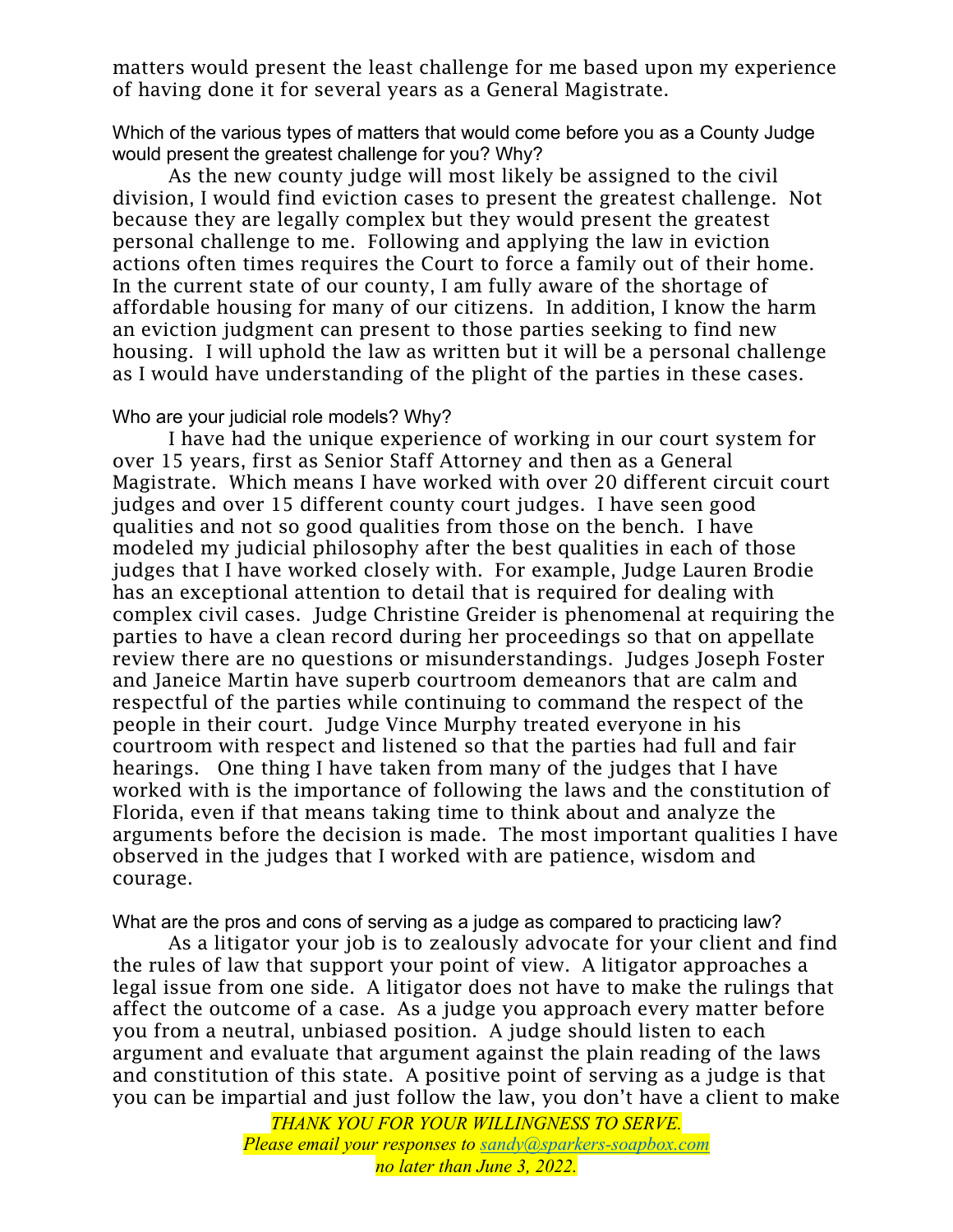matters would present the least challenge for me based upon my experience of having done it for several years as a General Magistrate.

Which of the various types of matters that would come before you as a County Judge would present the greatest challenge for you? Why?

As the new county judge will most likely be assigned to the civil division, I would find eviction cases to present the greatest challenge. Not because they are legally complex but they would present the greatest personal challenge to me. Following and applying the law in eviction actions often times requires the Court to force a family out of their home. In the current state of our county, I am fully aware of the shortage of affordable housing for many of our citizens. In addition, I know the harm an eviction judgment can present to those parties seeking to find new housing. I will uphold the law as written but it will be a personal challenge as I would have understanding of the plight of the parties in these cases.

## Who are your judicial role models? Why?

I have had the unique experience of working in our court system for over 15 years, first as Senior Staff Attorney and then as a General Magistrate. Which means I have worked with over 20 different circuit court judges and over 15 different county court judges. I have seen good qualities and not so good qualities from those on the bench. I have modeled my judicial philosophy after the best qualities in each of those judges that I have worked closely with. For example, Judge Lauren Brodie has an exceptional attention to detail that is required for dealing with complex civil cases. Judge Christine Greider is phenomenal at requiring the parties to have a clean record during her proceedings so that on appellate review there are no questions or misunderstandings. Judges Joseph Foster and Janeice Martin have superb courtroom demeanors that are calm and respectful of the parties while continuing to command the respect of the people in their court. Judge Vince Murphy treated everyone in his courtroom with respect and listened so that the parties had full and fair hearings. One thing I have taken from many of the judges that I have worked with is the importance of following the laws and the constitution of Florida, even if that means taking time to think about and analyze the arguments before the decision is made. The most important qualities I have observed in the judges that I worked with are patience, wisdom and courage.

What are the pros and cons of serving as a judge as compared to practicing law?

As a litigator your job is to zealously advocate for your client and find the rules of law that support your point of view. A litigator approaches a legal issue from one side. A litigator does not have to make the rulings that affect the outcome of a case. As a judge you approach every matter before you from a neutral, unbiased position. A judge should listen to each argument and evaluate that argument against the plain reading of the laws and constitution of this state. A positive point of serving as a judge is that you can be impartial and just follow the law, you don't have a client to make

> *THANK YOU FOR YOUR WILLINGNESS TO SERVE. Please email your responses to sandy@sparkers-soapbox.com no later than June 3, 2022.*